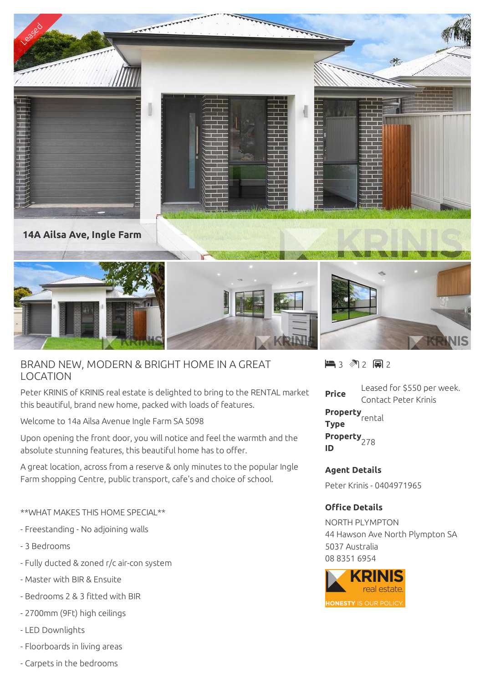

## BRAND NEW, MODERN & BRIGHT HOME IN A GREAT LOCATION

Peter KRINIS of KRINIS real estate is delighted to bring to the RENTAL market this beautiful, brand new home, packed with loads of features.

Welcome to 14a Ailsa Avenue Ingle Farm SA 5098

Upon opening the front door, you will notice and feel the warmth and the absolute stunning features, this beautiful home has to offer.

A great location, across from a reserve & only minutes to the popular Ingle Farm shopping Centre, public transport, cafe's and choice of school.

## \*\*WHAT MAKES THIS HOME SPECIAL\*\*

- Freestanding No adjoining walls
- 3 Bedrooms
- Fully ducted & zoned r/c air-con system
- Master with BIR & Ensuite
- Bedrooms 2 & 3 fitted with BIR
- 2700mm (9Ft) high ceilings
- LED Downlights
- Floorboards in living areas
- Carpets in the bedrooms

 $\blacksquare$  3 2 2 2 2

**Price** Leased for \$550 per week. Contact Peter Krinis

**Property** rental **Type Property ID** <sup>278</sup>

## **Agent Details**

Peter Krinis - 0404971965

## **Office Details**

NORTH PLYMPTON 44 Hawson Ave North Plympton SA 5037 Australia 08 8351 6954